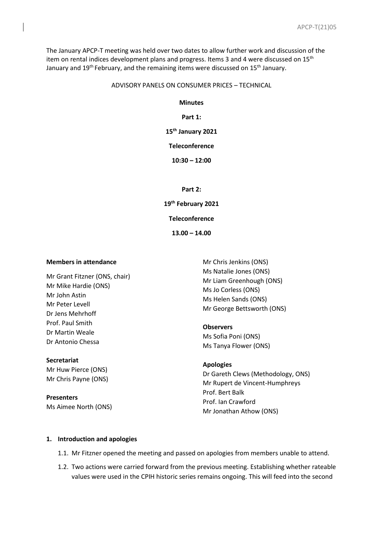The January APCP-T meeting was held over two dates to allow further work and discussion of the item on rental indices development plans and progress. Items 3 and 4 were discussed on 15<sup>th</sup> January and 19<sup>th</sup> February, and the remaining items were discussed on 15<sup>th</sup> January.

### ADVISORY PANELS ON CONSUMER PRICES – TECHNICAL

### **Minutes**

## **Part 1:**

## **15th January 2021**

### **Teleconference**

**10:30 – 12:00**

#### **Part 2:**

**19th February 2021**

**Teleconference**

**13.00 – 14.00**

#### **Members in attendance**

Mr Grant Fitzner (ONS, chair) Mr Mike Hardie (ONS) Mr John Astin Mr Peter Levell Dr Jens Mehrhoff Prof. Paul Smith Dr Martin Weale Dr Antonio Chessa

# **Secretariat**

Mr Huw Pierce (ONS) Mr Chris Payne (ONS)

**Presenters** Ms Aimee North (ONS)

Mr Chris Jenkins (ONS) Ms Natalie Jones (ONS) Mr Liam Greenhough (ONS) Ms Jo Corless (ONS) Ms Helen Sands (ONS) Mr George Bettsworth (ONS)

**Observers** Ms Sofia Poni (ONS) Ms Tanya Flower (ONS)

# **Apologies**

Dr Gareth Clews (Methodology, ONS) Mr Rupert de Vincent-Humphreys Prof. Bert Balk Prof. Ian Crawford Mr Jonathan Athow (ONS)

### **1. Introduction and apologies**

- 1.1. Mr Fitzner opened the meeting and passed on apologies from members unable to attend.
- 1.2. Two actions were carried forward from the previous meeting. Establishing whether rateable values were used in the CPIH historic series remains ongoing. This will feed into the second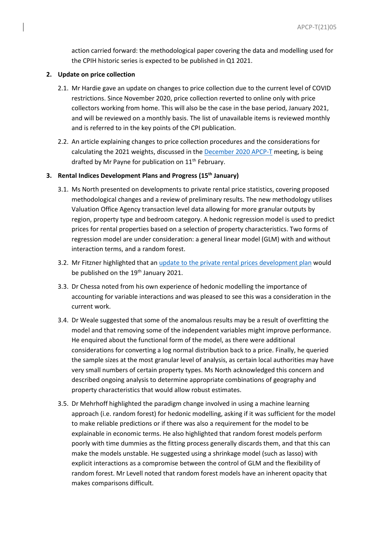action carried forward: the methodological paper covering the data and modelling used for the CPIH historic series is expected to be published in Q1 2021.

### **2. Update on price collection**

- 2.1. Mr Hardie gave an update on changes to price collection due to the current level of COVID restrictions. Since November 2020, price collection reverted to online only with price collectors working from home. This will also be the case in the base period, January 2021, and will be reviewed on a monthly basis. The list of unavailable items is reviewed monthly and is referred to in the key points of the CPI publication.
- 2.2. An article explaining changes to price collection procedures and the considerations for calculating the 2021 weights, discussed in th[e December 2020 APCP-T](https://uksa.statisticsauthority.gov.uk/about-the-authority/advisory-panels-for-consumer-price-statistics/technical/minutes-and-papers/) meeting, is being drafted by Mr Payne for publication on 11<sup>th</sup> February.

## **3. Rental Indices Development Plans and Progress (15th January)**

- 3.1. Ms North presented on developments to private rental price statistics, covering proposed methodological changes and a review of preliminary results. The new methodology utilises Valuation Office Agency transaction level data allowing for more granular outputs by region, property type and bedroom category. A hedonic regression model is used to predict prices for rental properties based on a selection of property characteristics. Two forms of regression model are under consideration: a general linear model (GLM) with and without interaction terms, and a random forest.
- 3.2. Mr Fitzner highlighted that an [update to the private rental prices development plan](https://www.ons.gov.uk/peoplepopulationandcommunity/housing/articles/privaterentalpricesdevelopmentplan/updatedjanuary2021) would be published on the 19<sup>th</sup> January 2021.
- 3.3. Dr Chessa noted from his own experience of hedonic modelling the importance of accounting for variable interactions and was pleased to see this was a consideration in the current work.
- 3.4. Dr Weale suggested that some of the anomalous results may be a result of overfitting the model and that removing some of the independent variables might improve performance. He enquired about the functional form of the model, as there were additional considerations for converting a log normal distribution back to a price. Finally, he queried the sample sizes at the most granular level of analysis, as certain local authorities may have very small numbers of certain property types. Ms North acknowledged this concern and described ongoing analysis to determine appropriate combinations of geography and property characteristics that would allow robust estimates.
- 3.5. Dr Mehrhoff highlighted the paradigm change involved in using a machine learning approach (i.e. random forest) for hedonic modelling, asking if it was sufficient for the model to make reliable predictions or if there was also a requirement for the model to be explainable in economic terms. He also highlighted that random forest models perform poorly with time dummies as the fitting process generally discards them, and that this can make the models unstable. He suggested using a shrinkage model (such as lasso) with explicit interactions as a compromise between the control of GLM and the flexibility of random forest. Mr Levell noted that random forest models have an inherent opacity that makes comparisons difficult.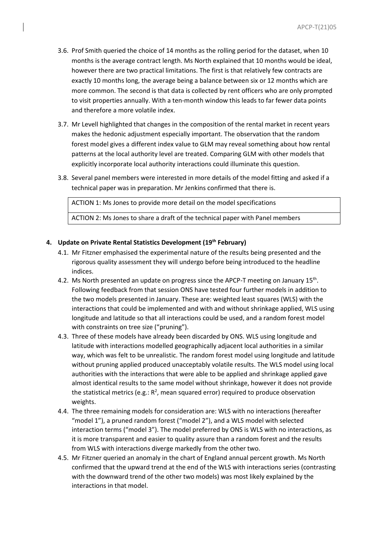- 3.6. Prof Smith queried the choice of 14 months as the rolling period for the dataset, when 10 months is the average contract length. Ms North explained that 10 months would be ideal, however there are two practical limitations. The first is that relatively few contracts are exactly 10 months long, the average being a balance between six or 12 months which are more common. The second is that data is collected by rent officers who are only prompted to visit properties annually. With a ten-month window this leads to far fewer data points and therefore a more volatile index.
- 3.7. Mr Levell highlighted that changes in the composition of the rental market in recent years makes the hedonic adjustment especially important. The observation that the random forest model gives a different index value to GLM may reveal something about how rental patterns at the local authority level are treated. Comparing GLM with other models that explicitly incorporate local authority interactions could illuminate this question.
- 3.8. Several panel members were interested in more details of the model fitting and asked if a technical paper was in preparation. Mr Jenkins confirmed that there is.

ACTION 1: Ms Jones to provide more detail on the model specifications ACTION 2: Ms Jones to share a draft of the technical paper with Panel members

## **4. Update on Private Rental Statistics Development (19th February)**

- 4.1. Mr Fitzner emphasised the experimental nature of the results being presented and the rigorous quality assessment they will undergo before being introduced to the headline indices.
- 4.2. Ms North presented an update on progress since the APCP-T meeting on January 15<sup>th</sup>. Following feedback from that session ONS have tested four further models in addition to the two models presented in January. These are: weighted least squares (WLS) with the interactions that could be implemented and with and without shrinkage applied, WLS using longitude and latitude so that all interactions could be used, and a random forest model with constraints on tree size ("pruning").
- 4.3. Three of these models have already been discarded by ONS. WLS using longitude and latitude with interactions modelled geographically adjacent local authorities in a similar way, which was felt to be unrealistic. The random forest model using longitude and latitude without pruning applied produced unacceptably volatile results. The WLS model using local authorities with the interactions that were able to be applied and shrinkage applied gave almost identical results to the same model without shrinkage, however it does not provide the statistical metrics (e.g.:  $R^2$ , mean squared error) required to produce observation weights.
- 4.4. The three remaining models for consideration are: WLS with no interactions (hereafter "model 1"), a pruned random forest ("model 2"), and a WLS model with selected interaction terms ("model 3"). The model preferred by ONS is WLS with no interactions, as it is more transparent and easier to quality assure than a random forest and the results from WLS with interactions diverge markedly from the other two.
- 4.5. Mr Fitzner queried an anomaly in the chart of England annual percent growth. Ms North confirmed that the upward trend at the end of the WLS with interactions series (contrasting with the downward trend of the other two models) was most likely explained by the interactions in that model.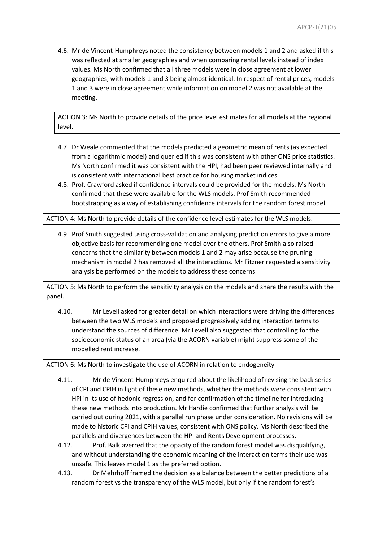4.6. Mr de Vincent-Humphreys noted the consistency between models 1 and 2 and asked if this was reflected at smaller geographies and when comparing rental levels instead of index values. Ms North confirmed that all three models were in close agreement at lower geographies, with models 1 and 3 being almost identical. In respect of rental prices, models 1 and 3 were in close agreement while information on model 2 was not available at the meeting.

ACTION 3: Ms North to provide details of the price level estimates for all models at the regional level.

- 4.7. Dr Weale commented that the models predicted a geometric mean of rents (as expected from a logarithmic model) and queried if this was consistent with other ONS price statistics. Ms North confirmed it was consistent with the HPI, had been peer reviewed internally and is consistent with international best practice for housing market indices.
- 4.8. Prof. Crawford asked if confidence intervals could be provided for the models. Ms North confirmed that these were available for the WLS models. Prof Smith recommended bootstrapping as a way of establishing confidence intervals for the random forest model.

ACTION 4: Ms North to provide details of the confidence level estimates for the WLS models.

4.9. Prof Smith suggested using cross-validation and analysing prediction errors to give a more objective basis for recommending one model over the others. Prof Smith also raised concerns that the similarity between models 1 and 2 may arise because the pruning mechanism in model 2 has removed all the interactions. Mr Fitzner requested a sensitivity analysis be performed on the models to address these concerns.

ACTION 5: Ms North to perform the sensitivity analysis on the models and share the results with the panel.

4.10. Mr Levell asked for greater detail on which interactions were driving the differences between the two WLS models and proposed progressively adding interaction terms to understand the sources of difference. Mr Levell also suggested that controlling for the socioeconomic status of an area (via the ACORN variable) might suppress some of the modelled rent increase.

ACTION 6: Ms North to investigate the use of ACORN in relation to endogeneity

- 4.11. Mr de Vincent-Humphreys enquired about the likelihood of revising the back series of CPI and CPIH in light of these new methods, whether the methods were consistent with HPI in its use of hedonic regression, and for confirmation of the timeline for introducing these new methods into production. Mr Hardie confirmed that further analysis will be carried out during 2021, with a parallel run phase under consideration. No revisions will be made to historic CPI and CPIH values, consistent with ONS policy. Ms North described the parallels and divergences between the HPI and Rents Development processes.
- 4.12. Prof. Balk averred that the opacity of the random forest model was disqualifying, and without understanding the economic meaning of the interaction terms their use was unsafe. This leaves model 1 as the preferred option.
- 4.13. Dr Mehrhoff framed the decision as a balance between the better predictions of a random forest vs the transparency of the WLS model, but only if the random forest's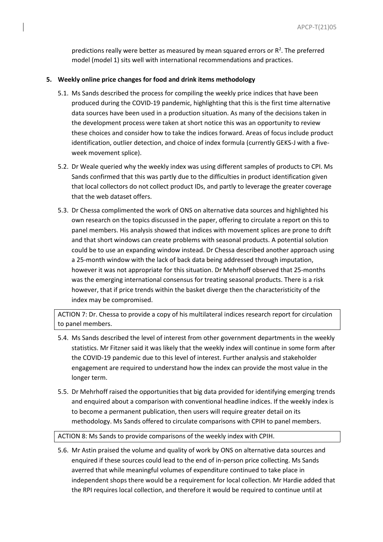predictions really were better as measured by mean squared errors or  $R<sup>2</sup>$ . The preferred model (model 1) sits well with international recommendations and practices.

### **5. Weekly online price changes for food and drink items methodology**

- 5.1. Ms Sands described the process for compiling the weekly price indices that have been produced during the COVID-19 pandemic, highlighting that this is the first time alternative data sources have been used in a production situation. As many of the decisions taken in the development process were taken at short notice this was an opportunity to review these choices and consider how to take the indices forward. Areas of focus include product identification, outlier detection, and choice of index formula (currently GEKS-J with a fiveweek movement splice).
- 5.2. Dr Weale queried why the weekly index was using different samples of products to CPI. Ms Sands confirmed that this was partly due to the difficulties in product identification given that local collectors do not collect product IDs, and partly to leverage the greater coverage that the web dataset offers.
- 5.3. Dr Chessa complimented the work of ONS on alternative data sources and highlighted his own research on the topics discussed in the paper, offering to circulate a report on this to panel members. His analysis showed that indices with movement splices are prone to drift and that short windows can create problems with seasonal products. A potential solution could be to use an expanding window instead. Dr Chessa described another approach using a 25-month window with the lack of back data being addressed through imputation, however it was not appropriate for this situation. Dr Mehrhoff observed that 25-months was the emerging international consensus for treating seasonal products. There is a risk however, that if price trends within the basket diverge then the characteristicity of the index may be compromised.

ACTION 7: Dr. Chessa to provide a copy of his multilateral indices research report for circulation to panel members.

- 5.4. Ms Sands described the level of interest from other government departments in the weekly statistics. Mr Fitzner said it was likely that the weekly index will continue in some form after the COVID-19 pandemic due to this level of interest. Further analysis and stakeholder engagement are required to understand how the index can provide the most value in the longer term.
- 5.5. Dr Mehrhoff raised the opportunities that big data provided for identifying emerging trends and enquired about a comparison with conventional headline indices. If the weekly index is to become a permanent publication, then users will require greater detail on its methodology. Ms Sands offered to circulate comparisons with CPIH to panel members.

#### ACTION 8: Ms Sands to provide comparisons of the weekly index with CPIH.

5.6. Mr Astin praised the volume and quality of work by ONS on alternative data sources and enquired if these sources could lead to the end of in-person price collecting. Ms Sands averred that while meaningful volumes of expenditure continued to take place in independent shops there would be a requirement for local collection. Mr Hardie added that the RPI requires local collection, and therefore it would be required to continue until at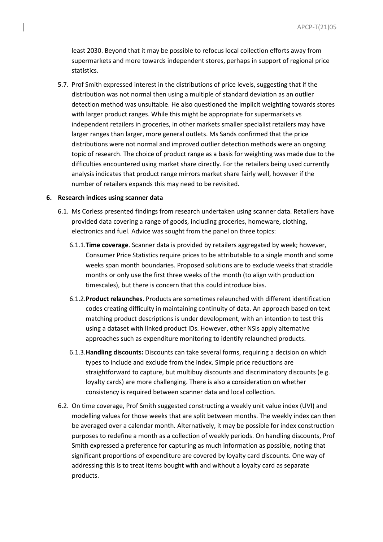least 2030. Beyond that it may be possible to refocus local collection efforts away from supermarkets and more towards independent stores, perhaps in support of regional price statistics.

5.7. Prof Smith expressed interest in the distributions of price levels, suggesting that if the distribution was not normal then using a multiple of standard deviation as an outlier detection method was unsuitable. He also questioned the implicit weighting towards stores with larger product ranges. While this might be appropriate for supermarkets vs independent retailers in groceries, in other markets smaller specialist retailers may have larger ranges than larger, more general outlets. Ms Sands confirmed that the price distributions were not normal and improved outlier detection methods were an ongoing topic of research. The choice of product range as a basis for weighting was made due to the difficulties encountered using market share directly. For the retailers being used currently analysis indicates that product range mirrors market share fairly well, however if the number of retailers expands this may need to be revisited.

#### **6. Research indices using scanner data**

- 6.1. Ms Corless presented findings from research undertaken using scanner data. Retailers have provided data covering a range of goods, including groceries, homeware, clothing, electronics and fuel. Advice was sought from the panel on three topics:
	- 6.1.1.**Time coverage**. Scanner data is provided by retailers aggregated by week; however, Consumer Price Statistics require prices to be attributable to a single month and some weeks span month boundaries. Proposed solutions are to exclude weeks that straddle months or only use the first three weeks of the month (to align with production timescales), but there is concern that this could introduce bias.
	- 6.1.2.**Product relaunches**. Products are sometimes relaunched with different identification codes creating difficulty in maintaining continuity of data. An approach based on text matching product descriptions is under development, with an intention to test this using a dataset with linked product IDs. However, other NSIs apply alternative approaches such as expenditure monitoring to identify relaunched products.
	- 6.1.3.**Handling discounts:** Discounts can take several forms, requiring a decision on which types to include and exclude from the index. Simple price reductions are straightforward to capture, but multibuy discounts and discriminatory discounts (e.g. loyalty cards) are more challenging. There is also a consideration on whether consistency is required between scanner data and local collection.
- 6.2. On time coverage, Prof Smith suggested constructing a weekly unit value index (UVI) and modelling values for those weeks that are split between months. The weekly index can then be averaged over a calendar month. Alternatively, it may be possible for index construction purposes to redefine a month as a collection of weekly periods. On handling discounts, Prof Smith expressed a preference for capturing as much information as possible, noting that significant proportions of expenditure are covered by loyalty card discounts. One way of addressing this is to treat items bought with and without a loyalty card as separate products.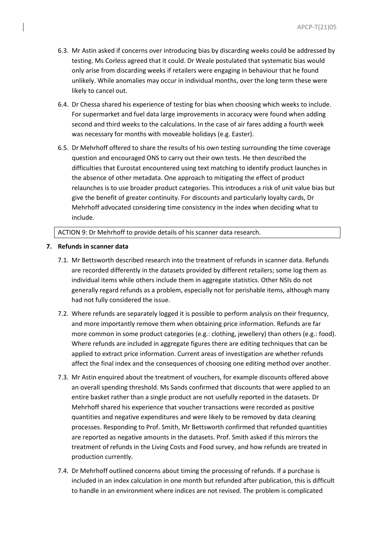- 6.3. Mr Astin asked if concerns over introducing bias by discarding weeks could be addressed by testing. Ms Corless agreed that it could. Dr Weale postulated that systematic bias would only arise from discarding weeks if retailers were engaging in behaviour that he found unlikely. While anomalies may occur in individual months, over the long term these were likely to cancel out.
- 6.4. Dr Chessa shared his experience of testing for bias when choosing which weeks to include. For supermarket and fuel data large improvements in accuracy were found when adding second and third weeks to the calculations. In the case of air fares adding a fourth week was necessary for months with moveable holidays (e.g. Easter).
- 6.5. Dr Mehrhoff offered to share the results of his own testing surrounding the time coverage question and encouraged ONS to carry out their own tests. He then described the difficulties that Eurostat encountered using text matching to identify product launches in the absence of other metadata. One approach to mitigating the effect of product relaunches is to use broader product categories. This introduces a risk of unit value bias but give the benefit of greater continuity. For discounts and particularly loyalty cards, Dr Mehrhoff advocated considering time consistency in the index when deciding what to include.

ACTION 9: Dr Mehrhoff to provide details of his scanner data research.

## **7. Refunds in scanner data**

- 7.1. Mr Bettsworth described research into the treatment of refunds in scanner data. Refunds are recorded differently in the datasets provided by different retailers; some log them as individual items while others include them in aggregate statistics. Other NSIs do not generally regard refunds as a problem, especially not for perishable items, although many had not fully considered the issue.
- 7.2. Where refunds are separately logged it is possible to perform analysis on their frequency, and more importantly remove them when obtaining price information. Refunds are far more common in some product categories (e.g.: clothing, jewellery) than others (e.g.: food). Where refunds are included in aggregate figures there are editing techniques that can be applied to extract price information. Current areas of investigation are whether refunds affect the final index and the consequences of choosing one editing method over another.
- 7.3. Mr Astin enquired about the treatment of vouchers, for example discounts offered above an overall spending threshold. Ms Sands confirmed that discounts that were applied to an entire basket rather than a single product are not usefully reported in the datasets. Dr Mehrhoff shared his experience that voucher transactions were recorded as positive quantities and negative expenditures and were likely to be removed by data cleaning processes. Responding to Prof. Smith, Mr Bettsworth confirmed that refunded quantities are reported as negative amounts in the datasets. Prof. Smith asked if this mirrors the treatment of refunds in the Living Costs and Food survey, and how refunds are treated in production currently.
- 7.4. Dr Mehrhoff outlined concerns about timing the processing of refunds. If a purchase is included in an index calculation in one month but refunded after publication, this is difficult to handle in an environment where indices are not revised. The problem is complicated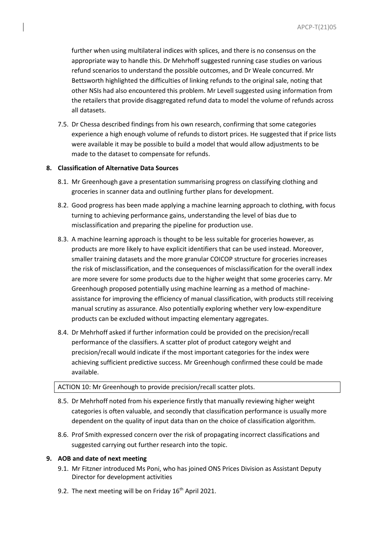further when using multilateral indices with splices, and there is no consensus on the appropriate way to handle this. Dr Mehrhoff suggested running case studies on various refund scenarios to understand the possible outcomes, and Dr Weale concurred. Mr Bettsworth highlighted the difficulties of linking refunds to the original sale, noting that other NSIs had also encountered this problem. Mr Levell suggested using information from the retailers that provide disaggregated refund data to model the volume of refunds across all datasets.

7.5. Dr Chessa described findings from his own research, confirming that some categories experience a high enough volume of refunds to distort prices. He suggested that if price lists were available it may be possible to build a model that would allow adjustments to be made to the dataset to compensate for refunds.

### **8. Classification of Alternative Data Sources**

- 8.1. Mr Greenhough gave a presentation summarising progress on classifying clothing and groceries in scanner data and outlining further plans for development.
- 8.2. Good progress has been made applying a machine learning approach to clothing, with focus turning to achieving performance gains, understanding the level of bias due to misclassification and preparing the pipeline for production use.
- 8.3. A machine learning approach is thought to be less suitable for groceries however, as products are more likely to have explicit identifiers that can be used instead. Moreover, smaller training datasets and the more granular COICOP structure for groceries increases the risk of misclassification, and the consequences of misclassification for the overall index are more severe for some products due to the higher weight that some groceries carry. Mr Greenhough proposed potentially using machine learning as a method of machineassistance for improving the efficiency of manual classification, with products still receiving manual scrutiny as assurance. Also potentially exploring whether very low-expenditure products can be excluded without impacting elementary aggregates.
- 8.4. Dr Mehrhoff asked if further information could be provided on the precision/recall performance of the classifiers. A scatter plot of product category weight and precision/recall would indicate if the most important categories for the index were achieving sufficient predictive success. Mr Greenhough confirmed these could be made available.

#### ACTION 10: Mr Greenhough to provide precision/recall scatter plots.

- 8.5. Dr Mehrhoff noted from his experience firstly that manually reviewing higher weight categories is often valuable, and secondly that classification performance is usually more dependent on the quality of input data than on the choice of classification algorithm.
- 8.6. Prof Smith expressed concern over the risk of propagating incorrect classifications and suggested carrying out further research into the topic.

#### **9. AOB and date of next meeting**

- 9.1. Mr Fitzner introduced Ms Poni, who has joined ONS Prices Division as Assistant Deputy Director for development activities
- 9.2. The next meeting will be on Friday  $16<sup>th</sup>$  April 2021.